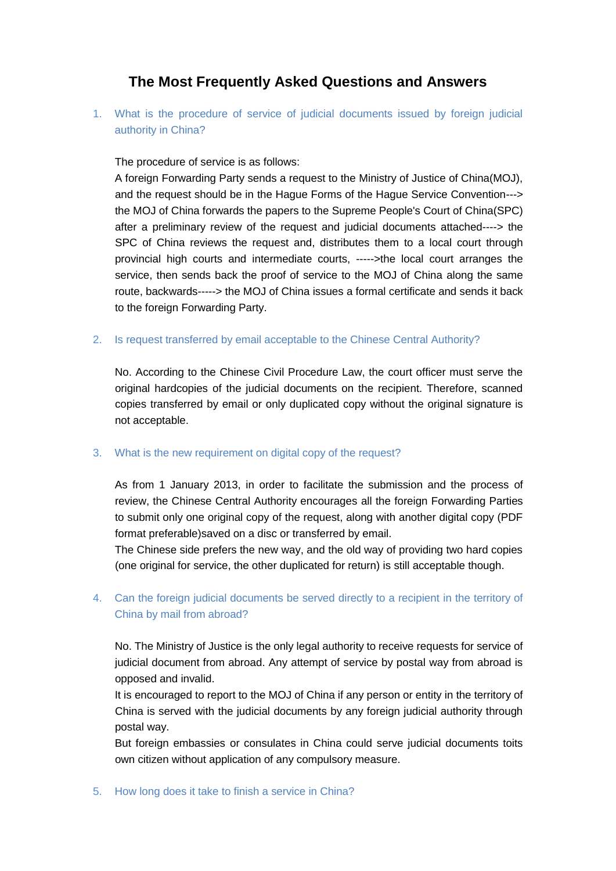## **The Most Frequently Asked Questions and Answers**

1. What is the procedure of service of judicial documents issued by foreign judicial authority in China?

The procedure of service is as follows:

A foreign Forwarding Party sends a request to the Ministry of Justice of China(MOJ), and the request should be in the Hague Forms of the Hague Service Convention---> the MOJ of China forwards the papers to the Supreme People's Court of China(SPC) after a preliminary review of the request and judicial documents attached----> the SPC of China reviews the request and, distributes them to a local court through provincial high courts and intermediate courts, ----->the local court arranges the service, then sends back the proof of service to the MOJ of China along the same route, backwards-----> the MOJ of China issues a formal certificate and sends it back to the foreign Forwarding Party.

2. Is request transferred by email acceptable to the Chinese Central Authority?

No. According to the Chinese Civil Procedure Law, the court officer must serve the original hardcopies of the judicial documents on the recipient. Therefore, scanned copies transferred by email or only duplicated copy without the original signature is not acceptable.

## 3. What is the new requirement on digital copy of the request?

As from 1 January 2013, in order to facilitate the submission and the process of review, the Chinese Central Authority encourages all the foreign Forwarding Parties to submit only one original copy of the request, along with another digital copy (PDF format preferable)saved on a disc or transferred by email.

The Chinese side prefers the new way, and the old way of providing two hard copies (one original for service, the other duplicated for return) is still acceptable though.

## 4. Can the foreign judicial documents be served directly to a recipient in the territory of China by mail from abroad?

No. The Ministry of Justice is the only legal authority to receive requests for service of judicial document from abroad. Any attempt of service by postal way from abroad is opposed and invalid.

It is encouraged to report to the MOJ of China if any person or entity in the territory of China is served with the judicial documents by any foreign judicial authority through postal way.

But foreign embassies or consulates in China could serve judicial documents toits own citizen without application of any compulsory measure.

5. How long does it take to finish a service in China?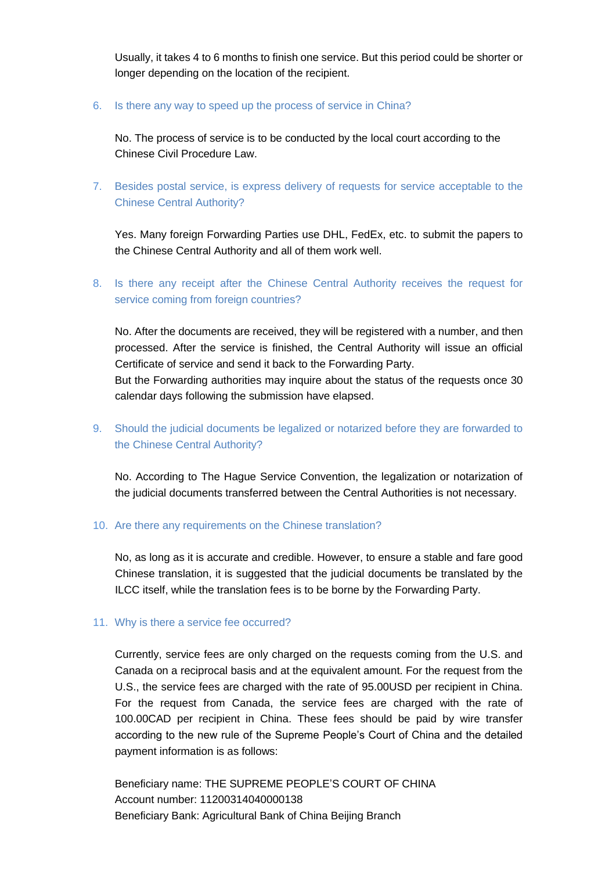Usually, it takes 4 to 6 months to finish one service. But this period could be shorter or longer depending on the location of the recipient.

6. Is there any way to speed up the process of service in China?

No. The process of service is to be conducted by the local court according to the Chinese Civil Procedure Law.

7. Besides postal service, is express delivery of requests for service acceptable to the Chinese Central Authority?

Yes. Many foreign Forwarding Parties use DHL, FedEx, etc. to submit the papers to the Chinese Central Authority and all of them work well.

8. Is there any receipt after the Chinese Central Authority receives the request for service coming from foreign countries?

No. After the documents are received, they will be registered with a number, and then processed. After the service is finished, the Central Authority will issue an official Certificate of service and send it back to the Forwarding Party.

But the Forwarding authorities may inquire about the status of the requests once 30 calendar days following the submission have elapsed.

9. Should the judicial documents be legalized or notarized before they are forwarded to the Chinese Central Authority?

No. According to The Hague Service Convention, the legalization or notarization of the judicial documents transferred between the Central Authorities is not necessary.

10. Are there any requirements on the Chinese translation?

No, as long as it is accurate and credible. However, to ensure a stable and fare good Chinese translation, it is suggested that the judicial documents be translated by the ILCC itself, while the translation fees is to be borne by the Forwarding Party.

## 11. Why is there a service fee occurred?

Currently, service fees are only charged on the requests coming from the U.S. and Canada on a reciprocal basis and at the equivalent amount. For the request from the U.S., the service fees are charged with the rate of 95.00USD per recipient in China. For the request from Canada, the service fees are charged with the rate of 100.00CAD per recipient in China. These fees should be paid by wire transfer according to the new rule of the Supreme People's Court of China and the detailed payment information is as follows:

Beneficiary name: THE SUPREME PEOPLE'S COURT OF CHINA Account number: 11200314040000138 Beneficiary Bank: Agricultural Bank of China Beijing Branch